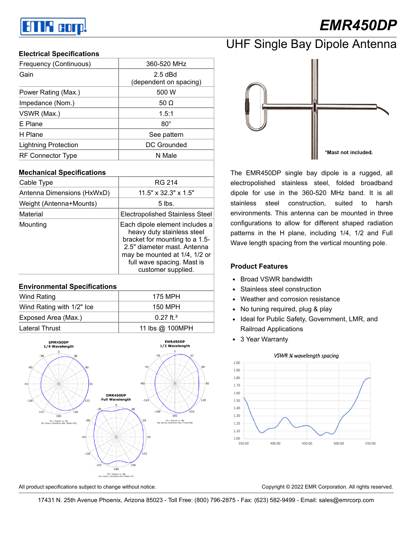# an R corp!

# *EMR450DP*

#### **Electrical Specifications**

| Frequency (Continuous)      | 360-520 MHz                         |  |
|-----------------------------|-------------------------------------|--|
| Gain                        | $2.5$ dBd<br>(dependent on spacing) |  |
| Power Rating (Max.)         | 500 W                               |  |
| Impedance (Nom.)            | 50 $\Omega$                         |  |
| VSWR (Max.)                 | 1.5:1                               |  |
| E Plane                     | $80^{\circ}$                        |  |
| H Plane                     | See pattern                         |  |
| <b>Lightning Protection</b> | DC Grounded                         |  |
| RF Connector Type           | N Male                              |  |

#### **Mechanical Specifications**

| Cable Type                 | RG 214                                                                                                                                                                                                             |  |
|----------------------------|--------------------------------------------------------------------------------------------------------------------------------------------------------------------------------------------------------------------|--|
| Antenna Dimensions (HxWxD) | $11.5" \times 32.3" \times 1.5"$                                                                                                                                                                                   |  |
| Weight (Antenna+Mounts)    | 5 lbs.                                                                                                                                                                                                             |  |
| Material                   | <b>Electropolished Stainless Steel</b>                                                                                                                                                                             |  |
| Mounting                   | Each dipole element includes a<br>heavy duty stainless steel<br>bracket for mounting to a 1.5-<br>2.5" diameter mast. Antenna<br>may be mounted at 1/4, 1/2 or<br>full wave spacing. Mast is<br>customer supplied. |  |

#### **Environmental Specifications**

| Wind Rating               | 175 MPH                 |  |
|---------------------------|-------------------------|--|
| Wind Rating with 1/2" Ice | 150 MPH                 |  |
| Exposed Area (Max.)       | $0.27$ ft. <sup>2</sup> |  |
| <b>Lateral Thrust</b>     | 11 lbs @ 100MPH         |  |

EMR450DP EMR450DP 1/4 Wavelength 1/2 Wavelength **EMR450DP** Full Wavelength  $-120$  $-120$  $-150$  $-150$  $50$  $\frac{1}{180}$  $-60$ Phi / Degree vs. dBi 90  $-120$  $-150$  $180$ Phi / Degree vs. dBi<br>av) Directivity Abs (T)



\*Mast not included.

The EMR450DP single bay dipole is a rugged, all electropolished stainless steel, folded broadband dipole for use in the 360-520 MHz band. It is all stainless steel construction, suited to harsh environments. This antenna can be mounted in three configurations to allow for different shaped radiation patterns in the H plane, including 1/4, 1/2 and Full Wave length spacing from the vertical mounting pole.

#### **Product Features**

- Broad VSWR bandwidth
- Stainless steel construction
- Weather and corrosion resistance
- No tuning required, plug & play  $\bullet$
- Ideal for Public Safety, Government, LMR, and  $\bullet$ Railroad Applications
- 3 Year Warranty



VSWR ¼ wavelength spacing

All product specifications subject to change without notice. Copyright © 2022 EMR Corporation. All rights reserved.

17431 N. 25th Avenue Phoenix, Arizona 85023 - Toll Free: (800) 796-2875 - Fax: (623) 582-9499 - Email: sales@emrcorp.com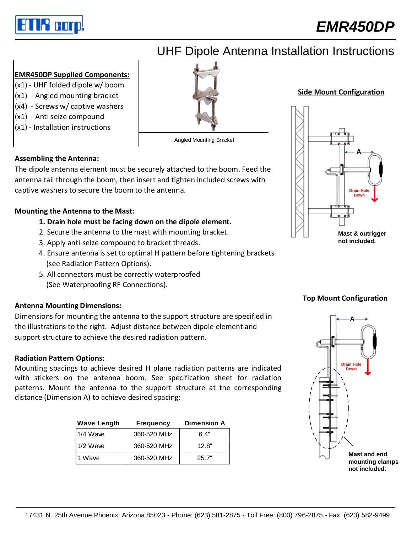

## *EMR450DP*

## UHF Dipole Antenna Installation Instructions

### **EMR450DP Supplied Components:**

- (x1) UHF folded dipole w/ boom
- (x1) Angled mounting bracket
- (x4) Screws w/ captive washers
- (x1) Anti seize compound
- (x1) Installation instructions

## **Assembling the Antenna:**

The dipole antenna element must be securely attached to the boom. Feed the antenna tail through the boom, then insert and tighten included screws with captive washers to secure the boom to the antenna.

Angled Mounting Bracket

## **Mounting the Antenna to the Mast:**

## **1. Drain hole must be facing down on the dipole element.**

- 2. Secure the antenna to the mast with mounting bracket.
- 3. Apply anti-seize compound to bracket threads.
- 4. Ensure antenna is set to optimal H pattern before tightening brackets (see Radiation Pattern Options).
- 5. All connectors must be correctly waterproofed (See Waterproofing RF Connections).

## **Antenna Mounting Dimensions:**

Dimensions for mounting the antenna to the support structure are specified in the illustrations to the right. Adjust distance between dipole element and support structure to achieve the desired radiation pattern.

### **Radiation Pattern Options:**

Mounting spacings to achieve desired H plane radiation patterns are indicated with stickers on the antenna boom. See specification sheet for radiation patterns. Mount the antenna to the support structure at the corresponding distance (Dimension A) to achieve desired spacing:

| <b>Wave Length</b> | <b>Frequency</b> | <b>Dimension A</b> |
|--------------------|------------------|--------------------|
| $1/4$ Wave         | 360-520 MHz      | 6.4"               |
| $1/2$ Wave         | 360-520 MHz      | 12.8"              |
| 1 Wave             | 360-520 MHz      | 25.7"              |





### **Top Mount Configuration**